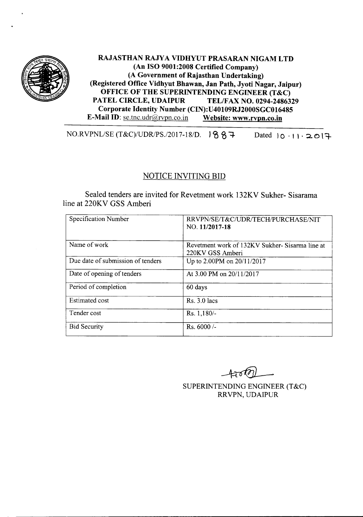

# RAJASTHAN RAJYA VIDHYUT PRASARAN NIGAM LTD (An ISO 9001:2008 Certified Company) (A Government of Rajasthan Undertaking) (Registered Office Vidhyut Bhawan, Jan Path, Jyoti Nagar, Jaipur) OFFICE OF THE SUPERINTENDING ENGINEER (T&C)<br>PATEL CIRCLE, UDAIPUR TEL/FAX NO. 0294-24863 TEL/FAX NO. 0294-2486329 Corporate Identity Number (CIN):U40109RJ2000SGCOI6485 E-Mail ID: se.tnc.udr@rvpn.co.in Website: www.rvpn.co.in

 $NO.RVPNL/SE (T&C)/UDR/PS.}/2017-18/D.$   $87 -$ Dated  $10.11.2017$ 

# NOTICE INVITING BID

Sealed tenders are invited for Revetment work 132KV Sukher- Sisarama line at 220KV GSS Amberi

| Specification Number              | RRVPN/SE/T&C/UDR/TECH/PURCHASE/NIT<br>NO. 11/2017-18               |
|-----------------------------------|--------------------------------------------------------------------|
| Name of work                      | Revetment work of 132KV Sukher-Sisarma line at<br>220KV GSS Amberi |
| Due date of submission of tenders | Up to 2.00PM on 20/11/2017                                         |
| Date of opening of tenders        | At 3.00 PM on 20/11/2017                                           |
| Period of completion              | 60 days                                                            |
| <b>Estimated cost</b>             | $Rs. 3.0$ lacs                                                     |
| Tender cost                       | Rs. 1,180/-                                                        |
| <b>Bid Security</b>               | $Rs. 6000/-$                                                       |

SUPERINTENDING ENGINEER (T&C) RRVPN, UDAIPUR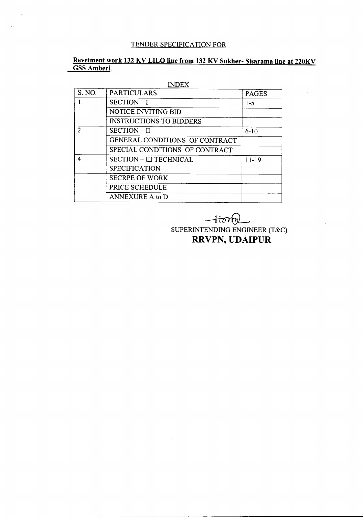# TENDER SPECIFICATION FOR

# Revetment work 132 KV LILO line from 132 KV Sukher- Sisarama line at 220KV GSS Amberi.

| <b>INDEX</b>  |                                       |              |
|---------------|---------------------------------------|--------------|
| S. NO.        | <b>PARTICULARS</b>                    | <b>PAGES</b> |
| 1.            | $SECTION - I$                         | $1 - 5$      |
|               | <b>NOTICE INVITING BID</b>            |              |
|               | <b>INSTRUCTIONS TO BIDDERS</b>        |              |
| $\mathcal{D}$ | <b>SECTION – II</b>                   | $6 - 10$     |
|               | <b>GENERAL CONDITIONS OF CONTRACT</b> |              |
|               | SPECIAL CONDITIONS OF CONTRACT        |              |
| 4.            | <b>SECTION – III TECHNICAL</b>        | $11-19$      |
|               | <b>SPECIFICATION</b>                  |              |
|               | <b>SECRPE OF WORK</b>                 |              |
|               | PRICE SCHEDULE                        |              |
|               | ANNEXURE A to D                       |              |

 $\mathcal{A}^{\mathcal{A}}$ 

---------------- - - - -

# --kot6L

SUPERINTENDING ENGINEER (T&C) RRVPN, **UDAIPUR**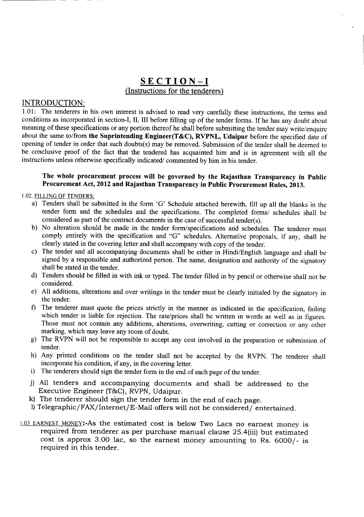# SECTION-I (Instructions for the tenderers)

#### INTRODUCTION:

1.01: The tenderers in his own interest is advised to read very carefully these instructions, the terms and conditions as incorporated in section-I, II, III before filling up of the tender forms. If he has any doubt about meaning of these specifications or any portion thereof he shall before submitting the tender may write/enquire about the same to/from the Suprintending Engineer(T&C), RVPNL, Udaipur before the specified date of opening of tender in order that such doubts(s) may be removed. Submission of the tender shall be deemed to be conclusive proof of the fact that the tendered has acquainted him and is in agreement with all the instructions unless otherwise specifically indicated/ commented by him in his tender.

#### The whole procurement process will be governed by the Rajasthan Transparency in Public Procurement Act, 2012 and Rajasthan Transparency in Public Procurement Rules, 2013.

1.02. FILLING OF TENDERS:

- a) Tenders shall be submitted in the form 'G' Schedule attached herewith, fill up all the blanks in the tender form and the schedules and the specifications. The completed forms/ schedules shall be considered as part of the contract documents in the case of successful tender(s).
- b) No alteration should be made in the tender form/specifications and schedules. The tenderer must comply entirely with the specification and "G" schedules. Alternative proposals, if any, shall be clearly stated in the covering letter and shall accompany with copy of the tender.
- c) The tender and all accompanying documents shall be either in Hindi/English language and shall be signed by a responsible and authorized person. The name, designation and authority of the signatory shall be stated in the tender.
- d) Tenders should be filled in with ink or typed. The tender filled in by pencil or otherwise shall not be considered.
- e) All additions, alterations and over writings in the tender must be clearly initialed by the signatory in the tender.
- f) The tenderer must quote the prices strictly in the manner as indicated in the specification, failing which tender is liable for rejection. The rate/prices shall be written in words as well as in figures. Those must not contain any additions, alterations, overwriting, cutting or correction or any other marking, which may leave any room of doubt.
- g) The RVPN will not be responsible to accept any cost involved in the preparation or submission of tender.
- h) Any printed conditions on the tender shall not be accepted by the RVPN. The tenderer shall incorporate his condition, if any, in the covering letter.
- i) The tenderers should sign the tender form in the end of each page of the tender.
- j) All tenders and accompanying documents and shall be addressed to the Executive Engineer (T&C), RVPN, Udaipur.
- k) The tenderer should sign the tender form in the end of each page.
- 1) Telegraphic/FAX/Internet/E-Mail offers will not be considered/ entertained.
- 1.03 EARNEST MONEY:-As the estimated cost is below Two Lacs no earnest money is required from tenderer as per purchase manual clause 25.4(iii) but estimated cost is approx 3.00 lac, so the earnest money amounting to Rs. 6000/- is required in this tender.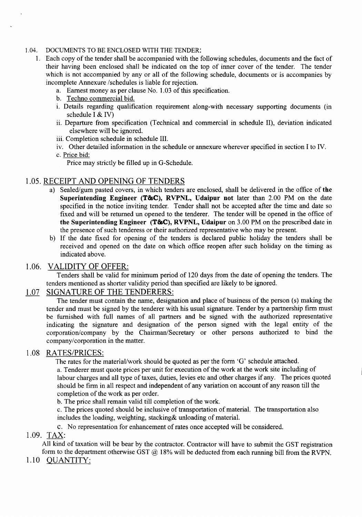#### 1.04. DOCUMENTS TO BE ENCLOSED WITH THE TENDER:

- 1. Each copy of the tender shall be accompanied with the following schedules, documents and the fact of their having been enclosed shall be indicated on the top of inner cover of the tender. The tender which is not accompanied by any or all of the following schedule, documents or is accompanies by incomplete Annexure /schedules is liable for rejection.
	- a. Earnest money as per clause No. 1.03 of this specification.
	- b. Techno commercial bid.
	- i. Details regarding qualification requirement along-with necessary supporting documents (in schedule I & IV)
	- ii. Departure from specification (Technical and commercial in schedule II), deviation indicated elsewhere will be ignored.
	- iii. Completion schedule in schedule III.
	- iv. Other detailed information in the schedule or annexure wherever specified in section I to IV.
	- c. Price bid:
		- Price may strictly be filled up in G-Schedule.

## 1.05.RECEIPT AND OPENING OF TENDERS

- a) Sealed/gum pasted covers, in which tenders are enclosed, shall be delivered in the office of **the Superintending Engineer (T&C), RVPNL, Udaipur not** later than 2.00 PM on the date specified in the notice inviting tender. Tender shall not be accepted after the time and date so fixed and will be returned un opened to the tenderer. The tender will be opened in the office of **the Superintending Engineer (T&C), RVPNL, Udaipur** on 3.00 PM on the prescribed date in the presence of such tenderess or their authorized representative who may be present.
- b) If the date fixed for opening of the tenders is declared public holiday the tenders shall be received and opened on the date on which office reopen after such holiday on the timing as indicated above.

# 1.06. VALIDITY OF OFFER:

Tenders shall be valid for minimum period of 120 days from the date of opening the tenders. The tenders mentioned as shorter validity period than specified are likely to be ignored.

### 1.07 SIGNATURE OF THE TENDERERS:

The tender must contain the name, designation and place of business of the person (s) making the tender and must be signed by the tenderer with his usual signature. Tender by a partnership firm must be furnished with full names of all partners and be signed with the authorized representative indicating the signature and designation of the person signed with the legal entity of the corporation/company by the Chairman/Secretary or other persons authorized to bind the company/corporation in the matter.

#### 1.08 RATES/PRICES:

The rates for the material/work should be quoted as per the form 'G' schedule attached.

a. Tenderer must quote prices per unit for execution of the work at the work site including of labour charges and all type of taxes, duties, levies etc and other charges if any. The prices quoted should be firm in all respect and independent of any variation on account of any reason till the completion of the work as per order.

b. The price shall remain valid till completion of the work.

c. The prices quoted should be inclusive of transportation of material. The transportation also includes the loading, weighting, stacking& unloading of material.

c. No representation for enhancement of rates once accepted will be considered.

#### 1.09. TAX:

All kind of taxation will be bear by the contractor. Contractor will have to submit the GST registration form to the department otherwise GST  $\omega$  18% will be deducted from each running bill from the RVPN.

1.10 QUANTITY: